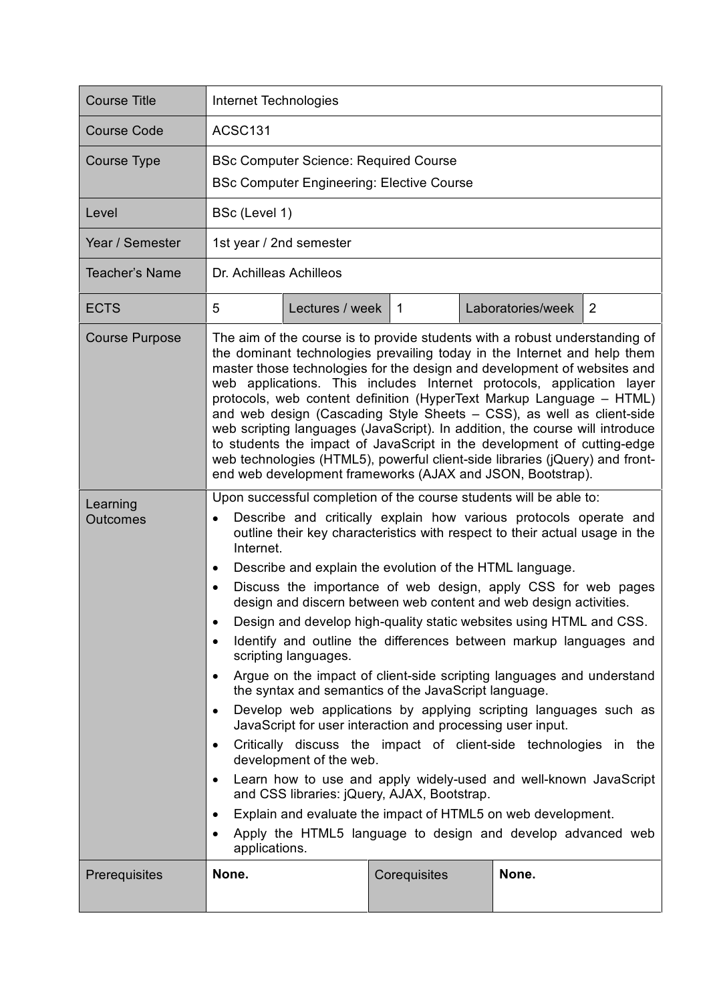| <b>Course Title</b>         | Internet Technologies                                                                                                                                                                                                                                                                                                                                                                                                                                                                                                                                                                                                                                                                                                                                                                                                                                                                                                                                                                                                                                                                                                                                                                                                                                                                                                                   |                 |              |  |                   |   |
|-----------------------------|-----------------------------------------------------------------------------------------------------------------------------------------------------------------------------------------------------------------------------------------------------------------------------------------------------------------------------------------------------------------------------------------------------------------------------------------------------------------------------------------------------------------------------------------------------------------------------------------------------------------------------------------------------------------------------------------------------------------------------------------------------------------------------------------------------------------------------------------------------------------------------------------------------------------------------------------------------------------------------------------------------------------------------------------------------------------------------------------------------------------------------------------------------------------------------------------------------------------------------------------------------------------------------------------------------------------------------------------|-----------------|--------------|--|-------------------|---|
| <b>Course Code</b>          | ACSC131                                                                                                                                                                                                                                                                                                                                                                                                                                                                                                                                                                                                                                                                                                                                                                                                                                                                                                                                                                                                                                                                                                                                                                                                                                                                                                                                 |                 |              |  |                   |   |
| <b>Course Type</b>          | <b>BSc Computer Science: Required Course</b><br><b>BSc Computer Engineering: Elective Course</b>                                                                                                                                                                                                                                                                                                                                                                                                                                                                                                                                                                                                                                                                                                                                                                                                                                                                                                                                                                                                                                                                                                                                                                                                                                        |                 |              |  |                   |   |
| Level                       | BSc (Level 1)                                                                                                                                                                                                                                                                                                                                                                                                                                                                                                                                                                                                                                                                                                                                                                                                                                                                                                                                                                                                                                                                                                                                                                                                                                                                                                                           |                 |              |  |                   |   |
| Year / Semester             | 1st year / 2nd semester                                                                                                                                                                                                                                                                                                                                                                                                                                                                                                                                                                                                                                                                                                                                                                                                                                                                                                                                                                                                                                                                                                                                                                                                                                                                                                                 |                 |              |  |                   |   |
| <b>Teacher's Name</b>       | Dr. Achilleas Achilleos                                                                                                                                                                                                                                                                                                                                                                                                                                                                                                                                                                                                                                                                                                                                                                                                                                                                                                                                                                                                                                                                                                                                                                                                                                                                                                                 |                 |              |  |                   |   |
| <b>ECTS</b>                 | 5                                                                                                                                                                                                                                                                                                                                                                                                                                                                                                                                                                                                                                                                                                                                                                                                                                                                                                                                                                                                                                                                                                                                                                                                                                                                                                                                       | Lectures / week | $\mathbf{1}$ |  | Laboratories/week | 2 |
| <b>Course Purpose</b>       | The aim of the course is to provide students with a robust understanding of<br>the dominant technologies prevailing today in the Internet and help them<br>master those technologies for the design and development of websites and<br>web applications. This includes Internet protocols, application layer<br>protocols, web content definition (HyperText Markup Language - HTML)<br>and web design (Cascading Style Sheets - CSS), as well as client-side<br>web scripting languages (JavaScript). In addition, the course will introduce<br>to students the impact of JavaScript in the development of cutting-edge<br>web technologies (HTML5), powerful client-side libraries (jQuery) and front-<br>end web development frameworks (AJAX and JSON, Bootstrap).                                                                                                                                                                                                                                                                                                                                                                                                                                                                                                                                                                  |                 |              |  |                   |   |
| Learning<br><b>Outcomes</b> | Upon successful completion of the course students will be able to:<br>Describe and critically explain how various protocols operate and<br>$\bullet$<br>outline their key characteristics with respect to their actual usage in the<br>Internet.<br>Describe and explain the evolution of the HTML language.<br>٠<br>Discuss the importance of web design, apply CSS for web pages<br>$\bullet$<br>design and discern between web content and web design activities.<br>Design and develop high-quality static websites using HTML and CSS.<br>Identify and outline the differences between markup languages and<br>$\bullet$<br>scripting languages.<br>Argue on the impact of client-side scripting languages and understand<br>$\bullet$<br>the syntax and semantics of the JavaScript language.<br>Develop web applications by applying scripting languages such as<br>$\bullet$<br>JavaScript for user interaction and processing user input.<br>Critically discuss the impact of client-side technologies in the<br>$\bullet$<br>development of the web.<br>Learn how to use and apply widely-used and well-known JavaScript<br>٠<br>and CSS libraries: jQuery, AJAX, Bootstrap.<br>Explain and evaluate the impact of HTML5 on web development.<br>٠<br>Apply the HTML5 language to design and develop advanced web<br>$\bullet$ |                 |              |  |                   |   |
| Prerequisites               | None.                                                                                                                                                                                                                                                                                                                                                                                                                                                                                                                                                                                                                                                                                                                                                                                                                                                                                                                                                                                                                                                                                                                                                                                                                                                                                                                                   |                 | Corequisites |  | None.             |   |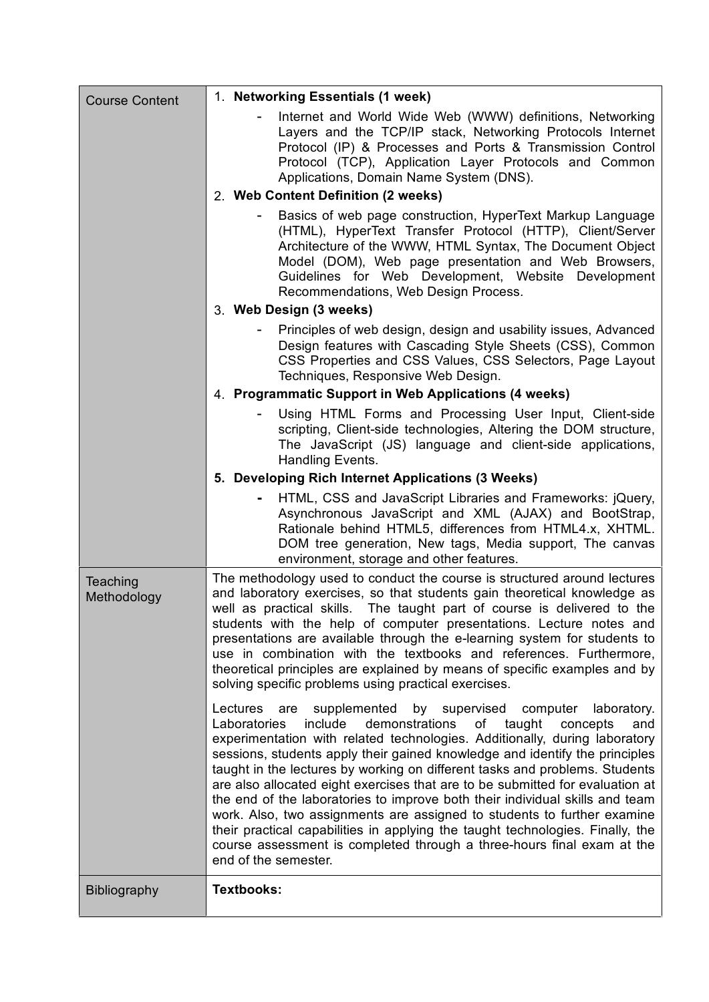| <b>Course Content</b>   | 1. Networking Essentials (1 week)                                                                                                                                                                                                                                                                                                                                                                                                                                                                                                                                                                                                                                                                                                                                                                                                       |  |  |  |  |
|-------------------------|-----------------------------------------------------------------------------------------------------------------------------------------------------------------------------------------------------------------------------------------------------------------------------------------------------------------------------------------------------------------------------------------------------------------------------------------------------------------------------------------------------------------------------------------------------------------------------------------------------------------------------------------------------------------------------------------------------------------------------------------------------------------------------------------------------------------------------------------|--|--|--|--|
|                         | Internet and World Wide Web (WWW) definitions, Networking<br>Layers and the TCP/IP stack, Networking Protocols Internet<br>Protocol (IP) & Processes and Ports & Transmission Control<br>Protocol (TCP), Application Layer Protocols and Common<br>Applications, Domain Name System (DNS).                                                                                                                                                                                                                                                                                                                                                                                                                                                                                                                                              |  |  |  |  |
|                         | 2. Web Content Definition (2 weeks)                                                                                                                                                                                                                                                                                                                                                                                                                                                                                                                                                                                                                                                                                                                                                                                                     |  |  |  |  |
|                         | Basics of web page construction, HyperText Markup Language<br>(HTML), HyperText Transfer Protocol (HTTP), Client/Server<br>Architecture of the WWW, HTML Syntax, The Document Object<br>Model (DOM), Web page presentation and Web Browsers,<br>Guidelines for Web Development, Website Development<br>Recommendations, Web Design Process.                                                                                                                                                                                                                                                                                                                                                                                                                                                                                             |  |  |  |  |
|                         | 3. Web Design (3 weeks)                                                                                                                                                                                                                                                                                                                                                                                                                                                                                                                                                                                                                                                                                                                                                                                                                 |  |  |  |  |
|                         | Principles of web design, design and usability issues, Advanced<br>Design features with Cascading Style Sheets (CSS), Common<br>CSS Properties and CSS Values, CSS Selectors, Page Layout<br>Techniques, Responsive Web Design.                                                                                                                                                                                                                                                                                                                                                                                                                                                                                                                                                                                                         |  |  |  |  |
|                         | 4. Programmatic Support in Web Applications (4 weeks)                                                                                                                                                                                                                                                                                                                                                                                                                                                                                                                                                                                                                                                                                                                                                                                   |  |  |  |  |
|                         | Using HTML Forms and Processing User Input, Client-side<br>scripting, Client-side technologies, Altering the DOM structure,<br>The JavaScript (JS) language and client-side applications,<br>Handling Events.                                                                                                                                                                                                                                                                                                                                                                                                                                                                                                                                                                                                                           |  |  |  |  |
|                         | 5. Developing Rich Internet Applications (3 Weeks)                                                                                                                                                                                                                                                                                                                                                                                                                                                                                                                                                                                                                                                                                                                                                                                      |  |  |  |  |
|                         | HTML, CSS and JavaScript Libraries and Frameworks: jQuery,<br>Asynchronous JavaScript and XML (AJAX) and BootStrap,<br>Rationale behind HTML5, differences from HTML4.x, XHTML.<br>DOM tree generation, New tags, Media support, The canvas<br>environment, storage and other features.                                                                                                                                                                                                                                                                                                                                                                                                                                                                                                                                                 |  |  |  |  |
| Teaching<br>Methodology | The methodology used to conduct the course is structured around lectures<br>and laboratory exercises, so that students gain theoretical knowledge as<br>well as practical skills. The taught part of course is delivered to the<br>students with the help of computer presentations. Lecture notes and<br>presentations are available through the e-learning system for students to<br>use in combination with the textbooks and references. Furthermore,<br>theoretical principles are explained by means of specific examples and by<br>solving specific problems using practical exercises.                                                                                                                                                                                                                                          |  |  |  |  |
|                         | Lectures<br>supplemented<br>by supervised<br>computer<br>laboratory.<br>are<br>Laboratories<br>include<br>demonstrations<br>taught<br>оf<br>concepts<br>and<br>experimentation with related technologies. Additionally, during laboratory<br>sessions, students apply their gained knowledge and identify the principles<br>taught in the lectures by working on different tasks and problems. Students<br>are also allocated eight exercises that are to be submitted for evaluation at<br>the end of the laboratories to improve both their individual skills and team<br>work. Also, two assignments are assigned to students to further examine<br>their practical capabilities in applying the taught technologies. Finally, the<br>course assessment is completed through a three-hours final exam at the<br>end of the semester. |  |  |  |  |
| <b>Bibliography</b>     | <b>Textbooks:</b>                                                                                                                                                                                                                                                                                                                                                                                                                                                                                                                                                                                                                                                                                                                                                                                                                       |  |  |  |  |